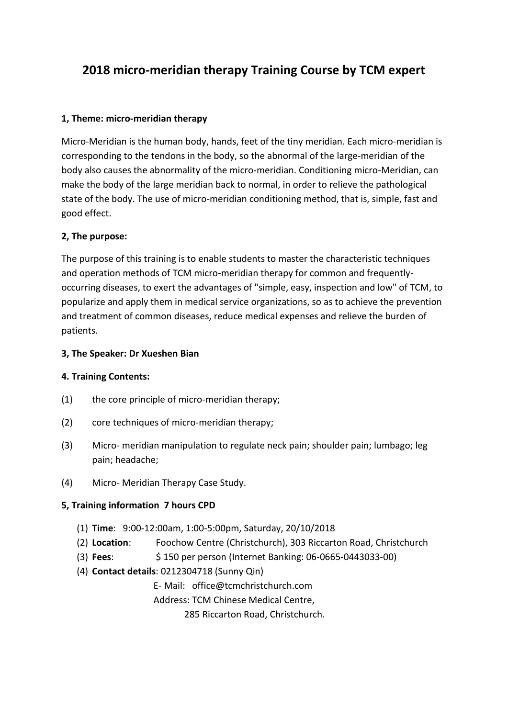# **2018 micro-meridian therapy Training Course by TCM expert**

#### **1, Theme: micro-meridian therapy**

Micro-Meridian is the human body, hands, feet of the tiny meridian. Each micro-meridian is corresponding to the tendons in the body, so the abnormal of the large-meridian of the body also causes the abnormality of the micro-meridian. Conditioning micro-Meridian, can make the body of the large meridian back to normal, in order to relieve the pathological state of the body. The use of micro-meridian conditioning method, that is, simple, fast and good effect.

## **2, The purpose:**

The purpose of this training is to enable students to master the characteristic techniques and operation methods of TCM micro-meridian therapy for common and frequentlyoccurring diseases, to exert the advantages of "simple, easy, inspection and low" of TCM, to popularize and apply them in medical service organizations, so as to achieve the prevention and treatment of common diseases, reduce medical expenses and relieve the burden of patients.

#### **3, The Speaker: Dr Xueshen Bian**

#### **4. Training Contents:**

- (1) the core principle of micro-meridian therapy;
- (2) core techniques of micro-meridian therapy;
- (3) Micro- meridian manipulation to regulate neck pain; shoulder pain; lumbago; leg pain; headache;
- (4) Micro- Meridian Therapy Case Study.

#### **5, Training information 7 hours CPD**

- (1) **Time**: 9:00-12:00am, 1:00-5:00pm, Saturday, 20/10/2018
- (2) **Location**: Foochow Centre (Christchurch), 303 Riccarton Road, Christchurch
- (3) **Fees**: \$ 150 per person (Internet Banking: 06-0665-0443033-00)
- (4) **Contact details**: 0212304718 (Sunny Qin)

E- Mail: office@tcmchristchurch.com

Address: TCM Chinese Medical Centre,

285 Riccarton Road, Christchurch.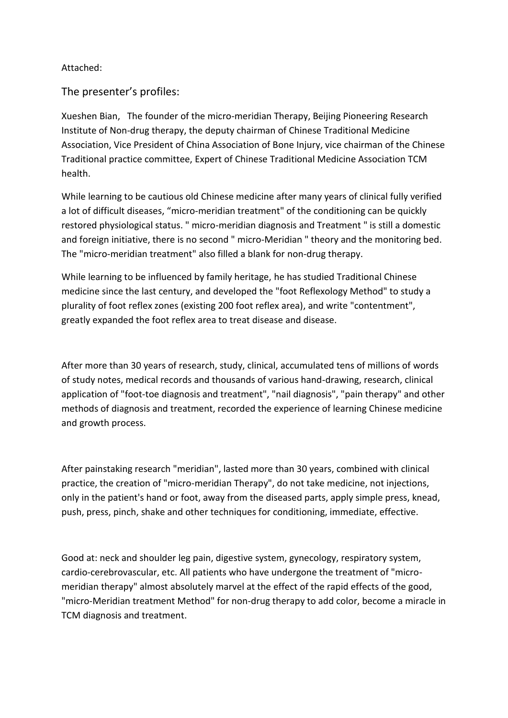### Attached:

The presenter's profiles:

Xueshen Bian, The founder of the micro-meridian Therapy, Beijing Pioneering Research Institute of Non-drug therapy, the deputy chairman of Chinese Traditional Medicine Association, Vice President of China Association of Bone Injury, vice chairman of the Chinese Traditional practice committee, Expert of Chinese Traditional Medicine Association TCM health.

While learning to be cautious old Chinese medicine after many years of clinical fully verified a lot of difficult diseases, "micro-meridian treatment" of the conditioning can be quickly restored physiological status. " micro-meridian diagnosis and Treatment " is still a domestic and foreign initiative, there is no second " micro-Meridian " theory and the monitoring bed. The "micro-meridian treatment" also filled a blank for non-drug therapy.

While learning to be influenced by family heritage, he has studied Traditional Chinese medicine since the last century, and developed the "foot Reflexology Method" to study a plurality of foot reflex zones (existing 200 foot reflex area), and write "contentment", greatly expanded the foot reflex area to treat disease and disease.

After more than 30 years of research, study, clinical, accumulated tens of millions of words of study notes, medical records and thousands of various hand-drawing, research, clinical application of "foot-toe diagnosis and treatment", "nail diagnosis", "pain therapy" and other methods of diagnosis and treatment, recorded the experience of learning Chinese medicine and growth process.

After painstaking research "meridian", lasted more than 30 years, combined with clinical practice, the creation of "micro-meridian Therapy", do not take medicine, not injections, only in the patient's hand or foot, away from the diseased parts, apply simple press, knead, push, press, pinch, shake and other techniques for conditioning, immediate, effective.

Good at: neck and shoulder leg pain, digestive system, gynecology, respiratory system, cardio-cerebrovascular, etc. All patients who have undergone the treatment of "micromeridian therapy" almost absolutely marvel at the effect of the rapid effects of the good, "micro-Meridian treatment Method" for non-drug therapy to add color, become a miracle in TCM diagnosis and treatment.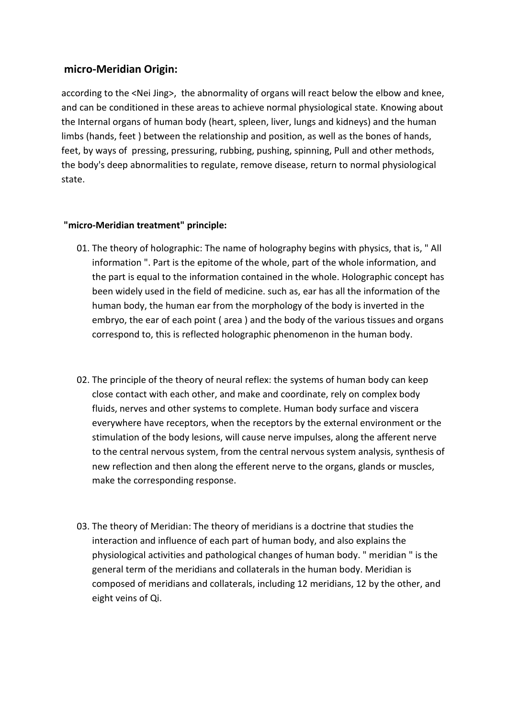## **micro-Meridian Origin:**

according to the <Nei Jing>, the abnormality of organs will react below the elbow and knee, and can be conditioned in these areas to achieve normal physiological state. Knowing about the Internal organs of human body (heart, spleen, liver, lungs and kidneys) and the human limbs (hands, feet ) between the relationship and position, as well as the bones of hands, feet, by ways of pressing, pressuring, rubbing, pushing, spinning, Pull and other methods, the body's deep abnormalities to regulate, remove disease, return to normal physiological state.

#### **"micro-Meridian treatment" principle:**

- 01. The theory of holographic: The name of holography begins with physics, that is, " All information ". Part is the epitome of the whole, part of the whole information, and the part is equal to the information contained in the whole. Holographic concept has been widely used in the field of medicine. such as, ear has all the information of the human body, the human ear from the morphology of the body is inverted in the embryo, the ear of each point ( area ) and the body of the various tissues and organs correspond to, this is reflected holographic phenomenon in the human body.
- 02. The principle of the theory of neural reflex: the systems of human body can keep close contact with each other, and make and coordinate, rely on complex body fluids, nerves and other systems to complete. Human body surface and viscera everywhere have receptors, when the receptors by the external environment or the stimulation of the body lesions, will cause nerve impulses, along the afferent nerve to the central nervous system, from the central nervous system analysis, synthesis of new reflection and then along the efferent nerve to the organs, glands or muscles, make the corresponding response.
- 03. The theory of Meridian: The theory of meridians is a doctrine that studies the interaction and influence of each part of human body, and also explains the physiological activities and pathological changes of human body. " meridian " is the general term of the meridians and collaterals in the human body. Meridian is composed of meridians and collaterals, including 12 meridians, 12 by the other, and eight veins of Qi.